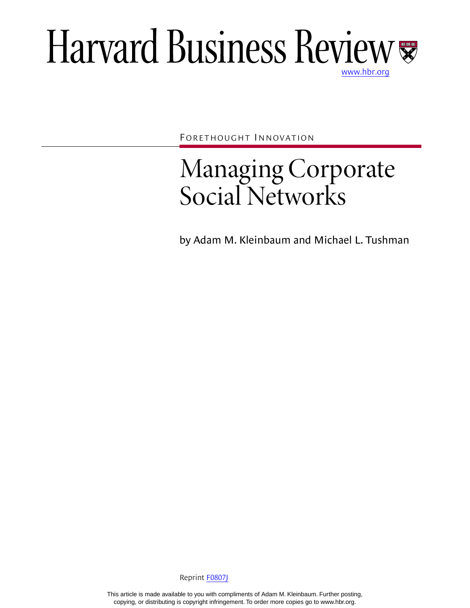# Harvard Business Review

FORETHOUGHT INNOVATION

## Managing Corporate Social Networks

by Adam M. Kleinbaum and Michael L. Tushman

Reprint [F0807J](http://harvardbusinessonline.hbsp.harvard.edu/relay.jhtml?name=itemdetail&referral=4320&id=F0807J)

This article is made available to you with compliments of Adam M. Kleinbaum. Further posting, copying, or distributing is copyright infringement. To order more copies go to www.hbr.org.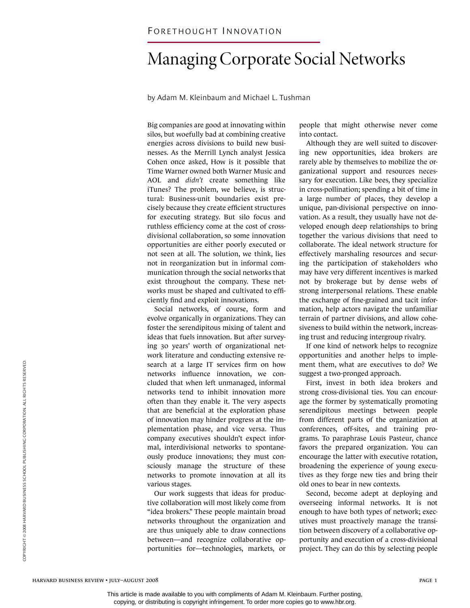### Managing Corporate Social Networks

by Adam M. Kleinbaum and Michael L. Tushman

Big companies are good at innovating within silos, but woefully bad at combining creative energies across divisions to build new businesses. As the Merrill Lynch analyst Jessica Cohen once asked, How is it possible that Time Warner owned both Warner Music and AOL and *didn't* create something like iTunes? The problem, we believe, is structural: Business-unit boundaries exist precisely because they create efficient structures for executing strategy. But silo focus and ruthless efficiency come at the cost of crossdivisional collaboration, so some innovation opportunities are either poorly executed or not seen at all. The solution, we think, lies not in reorganization but in informal communication through the social networks that exist throughout the company. These networks must be shaped and cultivated to efficiently find and exploit innovations.

Social networks, of course, form and evolve organically in organizations. They can foster the serendipitous mixing of talent and ideas that fuels innovation. But after surveying 30 years' worth of organizational network literature and conducting extensive research at a large IT services firm on how networks influence innovation, we concluded that when left unmanaged, informal networks tend to inhibit innovation more often than they enable it. The very aspects that are beneficial at the exploration phase of innovation may hinder progress at the implementation phase, and vice versa. Thus company executives shouldn't expect informal, interdivisional networks to spontaneously produce innovations; they must consciously manage the structure of these networks to promote innovation at all its various stages.

Our work suggests that ideas for productive collaboration will most likely come from "idea brokers." These people maintain broad networks throughout the organization and are thus uniquely able to draw connections between—and recognize collaborative opportunities for—technologies, markets, or

people that might otherwise never come into contact.

Although they are well suited to discovering new opportunities, idea brokers are rarely able by themselves to mobilize the organizational support and resources necessary for execution. Like bees, they specialize in cross-pollination; spending a bit of time in a large number of places, they develop a unique, pan-divisional perspective on innovation. As a result, they usually have not developed enough deep relationships to bring together the various divisions that need to collaborate. The ideal network structure for effectively marshaling resources and securing the participation of stakeholders who may have very different incentives is marked not by brokerage but by dense webs of strong interpersonal relations. These enable the exchange of fine-grained and tacit information, help actors navigate the unfamiliar terrain of partner divisions, and allow cohesiveness to build within the network, increasing trust and reducing intergroup rivalry.

If one kind of network helps to recognize opportunities and another helps to implement them, what are executives to do? We suggest a two-pronged approach.

First, invest in both idea brokers and strong cross-divisional ties. You can encourage the former by systematically promoting serendipitous meetings between people from different parts of the organization at conferences, off-sites, and training programs. To paraphrase Louis Pasteur, chance favors the prepared organization. You can encourage the latter with executive rotation, broadening the experience of young executives as they forge new ties and bring their old ones to bear in new contexts.

Second, become adept at deploying and overseeing informal networks. It is not enough to have both types of network; executives must proactively manage the transition between discovery of a collaborative opportunity and execution of a cross-divisional project. They can do this by selecting people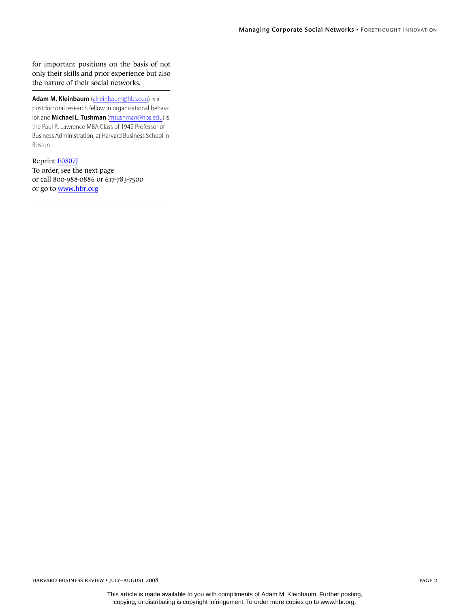for important positions on the basis of not only their skills and prior experience but also the nature of their social networks.

**Adam M. Kleinbaum** ([akleinbaum@hbs.edu](mailto:akleinbaum@hbs.edu)) is a postdoctoral research fellow in organizational behavior, and **Michael L. Tushman** [\(mtushman@hbs.edu\)](mailto:mtushman@hbs.edu) is the Paul R. Lawrence MBA Class of 1942 Professor of Business Administration, at Harvard Business School in Boston.

Reprint [F0807J](http://harvardbusinessonline.hbsp.harvard.edu/relay.jhtml?name=itemdetail&referral=4320&id=F0807J) To order, see the next page or call 800-988-0886 or 617-783-7500 or go to [www.hbr.org](http://www.hbr.org)